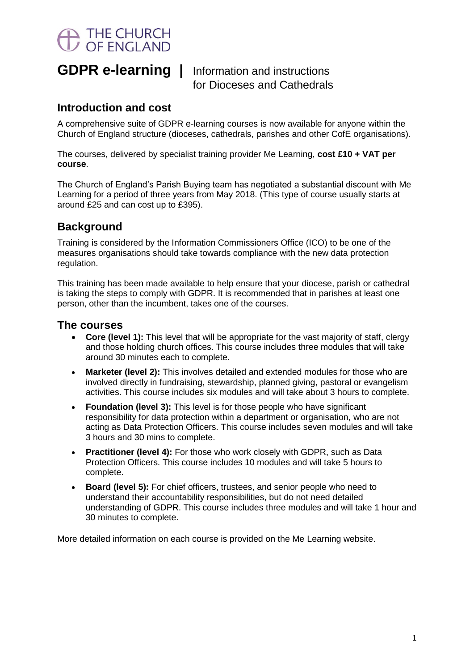# THE CHURCH<br>OF ENGLAND

**GDPR e-learning |** Information and instructions for Dioceses and Cathedrals

### **Introduction and cost**

A comprehensive suite of GDPR e-learning courses is now available for anyone within the Church of England structure (dioceses, cathedrals, parishes and other CofE organisations).

The courses, delivered by specialist training provider Me Learning, **cost £10 + VAT per course**.

The Church of England's Parish Buying team has negotiated a substantial discount with Me Learning for a period of three years from May 2018. (This type of course usually starts at around £25 and can cost up to £395).

## **Background**

Training is considered by the Information Commissioners Office (ICO) to be one of the measures organisations should take towards compliance with the new data protection regulation.

This training has been made available to help ensure that your diocese, parish or cathedral is taking the steps to comply with GDPR. It is recommended that in parishes at least one person, other than the incumbent, takes one of the courses.

#### **The courses**

- Core (level 1): This level that will be appropriate for the vast majority of staff, clergy and those holding church offices. This course includes three modules that will take around 30 minutes each to complete.
- **Marketer (level 2):** This involves detailed and extended modules for those who are involved directly in fundraising, stewardship, planned giving, pastoral or evangelism activities. This course includes six modules and will take about 3 hours to complete.
- **Foundation (level 3):** This level is for those people who have significant responsibility for data protection within a department or organisation, who are not acting as Data Protection Officers. This course includes seven modules and will take 3 hours and 30 mins to complete.
- **Practitioner (level 4):** For those who work closely with GDPR, such as Data Protection Officers. This course includes 10 modules and will take 5 hours to complete.
- **Board (level 5):** For chief officers, trustees, and senior people who need to understand their accountability responsibilities, but do not need detailed understanding of GDPR. This course includes three modules and will take 1 hour and 30 minutes to complete.

More detailed information on each course is provided on the Me Learning website.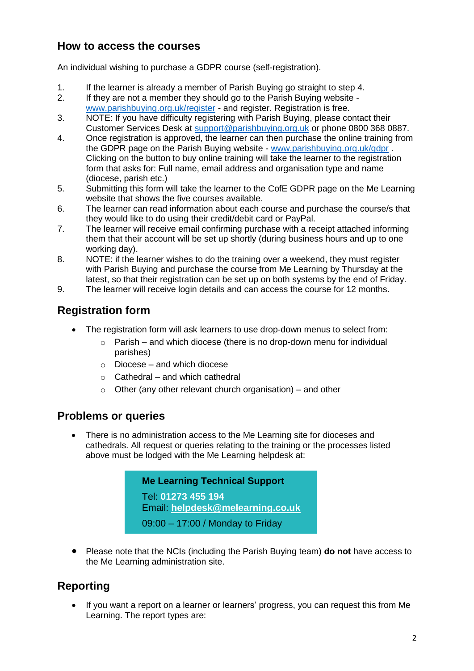### **How to access the courses**

An individual wishing to purchase a GDPR course (self-registration).

- 1. If the learner is already a member of Parish Buying go straight to step 4.
- 2. If they are not a member they should go to the Parish Buying website [www.parishbuying.org.uk/register](http://www.parishbuying.org.uk/register) - and register. Registration is free.
- 3. NOTE: If you have difficulty registering with Parish Buying, please contact their Customer Services Desk at [support@parishbuying.org.uk](mailto:support@parishbuying.org.uk) or phone 0800 368 0887.
- 4. Once registration is approved, the learner can then purchase the online training from the GDPR page on the Parish Buying website - [www.parishbuying.org.uk/gdpr](http://www.parishbuying.org.uk/gdpr) . Clicking on the button to buy online training will take the learner to the registration form that asks for: Full name, email address and organisation type and name (diocese, parish etc.)
- 5. Submitting this form will take the learner to the CofE GDPR page on the Me Learning website that shows the five courses available.
- 6. The learner can read information about each course and purchase the course/s that they would like to do using their credit/debit card or PayPal.
- 7. The learner will receive email confirming purchase with a receipt attached informing them that their account will be set up shortly (during business hours and up to one working day).
- 8. NOTE: if the learner wishes to do the training over a weekend, they must register with Parish Buying and purchase the course from Me Learning by Thursday at the latest, so that their registration can be set up on both systems by the end of Friday.
- 9. The learner will receive login details and can access the course for 12 months.

# **Registration form**

- The registration form will ask learners to use drop-down menus to select from:
	- $\circ$  Parish and which diocese (there is no drop-down menu for individual parishes)
	- $\circ$  Diocese and which diocese
	- $\circ$  Cathedral and which cathedral
	- $\circ$  Other (any other relevant church organisation) and other

#### **Problems or queries**

 There is no administration access to the Me Learning site for dioceses and cathedrals. All request or queries relating to the training or the processes listed above must be lodged with the Me Learning helpdesk at:

> **Me Learning Technical Support** Tel: **01273 455 194** Email: **[helpdesk@melearning.co.uk](mailto:helpdesk@melearning.co.uk)** 09:00 – 17:00 / Monday to Friday

 Please note that the NCIs (including the Parish Buying team) **do not** have access to the Me Learning administration site.

# **Reporting**

 If you want a report on a learner or learners' progress, you can request this from Me Learning. The report types are: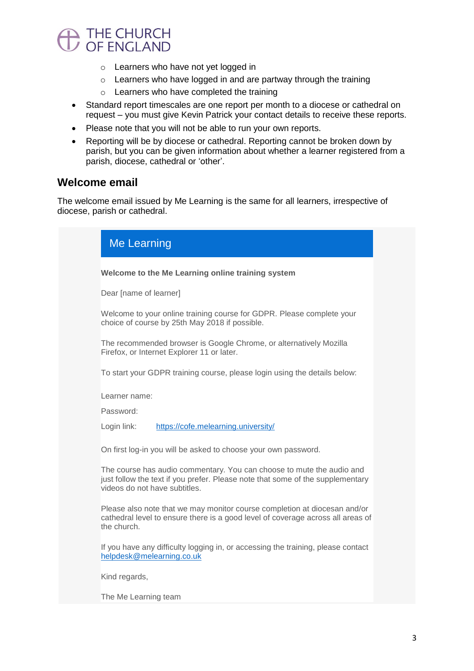# THE CHURCH<br>OF ENGLAND

- o Learners who have not yet logged in
- o Learners who have logged in and are partway through the training
- o Learners who have completed the training
- Standard report timescales are one report per month to a diocese or cathedral on request – you must give Kevin Patrick your contact details to receive these reports.
- Please note that you will not be able to run your own reports.
- Reporting will be by diocese or cathedral. Reporting cannot be broken down by parish, but you can be given information about whether a learner registered from a parish, diocese, cathedral or 'other'.

#### **Welcome email**

The welcome email issued by Me Learning is the same for all learners, irrespective of diocese, parish or cathedral.

| <b>Me Learning</b>                                                                                                      |                                                                                                                                                                                          |
|-------------------------------------------------------------------------------------------------------------------------|------------------------------------------------------------------------------------------------------------------------------------------------------------------------------------------|
| Welcome to the Me Learning online training system                                                                       |                                                                                                                                                                                          |
| Dear [name of learner]                                                                                                  |                                                                                                                                                                                          |
| Welcome to your online training course for GDPR. Please complete your<br>choice of course by 25th May 2018 if possible. |                                                                                                                                                                                          |
| The recommended browser is Google Chrome, or alternatively Mozilla<br>Firefox, or Internet Explorer 11 or later.        |                                                                                                                                                                                          |
|                                                                                                                         | To start your GDPR training course, please login using the details below:                                                                                                                |
| Learner name:                                                                                                           |                                                                                                                                                                                          |
| Password:                                                                                                               |                                                                                                                                                                                          |
| Login link:                                                                                                             | https://cofe.melearning.university/                                                                                                                                                      |
|                                                                                                                         | On first log-in you will be asked to choose your own password.                                                                                                                           |
|                                                                                                                         | The course has audio commentary. You can choose to mute the audio and<br>just follow the text if you prefer. Please note that some of the supplementary<br>videos do not have subtitles. |
| the church.                                                                                                             | Please also note that we may monitor course completion at diocesan and/or<br>cathedral level to ensure there is a good level of coverage across all areas of                             |
|                                                                                                                         | If you have any difficulty logging in, or accessing the training, please contact<br>helpdesk@melearning.co.uk                                                                            |
| Kind regards,                                                                                                           |                                                                                                                                                                                          |
| The Me Learning team                                                                                                    |                                                                                                                                                                                          |